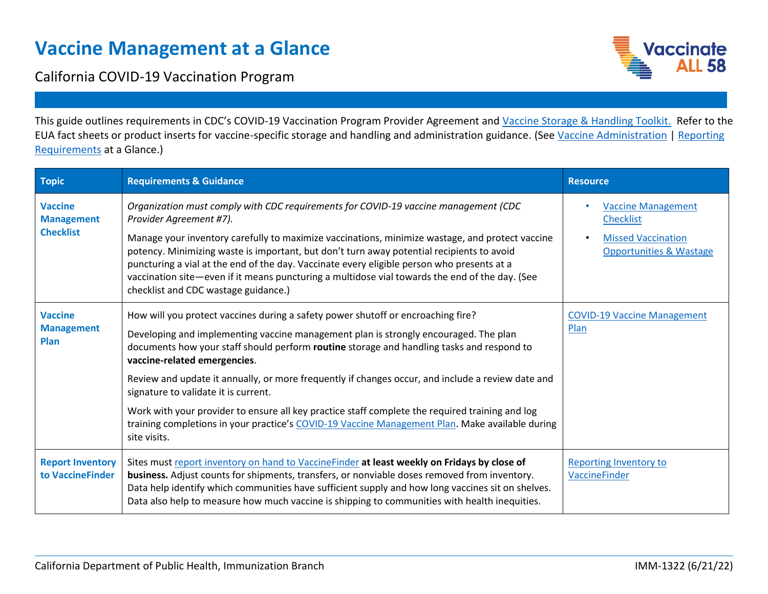## **Vaccine Management at a Glance**

California COVID-19 Vaccination Program



This guide outlines requirements in CDC's COVID-19 Vaccination Program Provider Agreement and [Vaccine Storage & Handling Toolkit.](https://www.cdc.gov/vaccines/hcp/admin/storage/toolkit/storage-handling-toolkit-2020.pdf) Refer to the EUA fact sheets or product inserts for vaccine-specific storage and handling and administration guidance. (Se[e Vaccine Administration](https://eziz.org/assets/docs/COVID19/IMM-1335.pdf) [| Reporting](https://eziz.org/assets/docs/COVID19/IMM-1329.pdf)  [Requirements](https://eziz.org/assets/docs/COVID19/IMM-1329.pdf) at a Glance.)

| <b>Topic</b>                                            | <b>Requirements &amp; Guidance</b>                                                                                                                                                                                                                                                                                                                                                                                                                                                                                                                                                                                                                                       | <b>Resource</b>                                                                                                  |
|---------------------------------------------------------|--------------------------------------------------------------------------------------------------------------------------------------------------------------------------------------------------------------------------------------------------------------------------------------------------------------------------------------------------------------------------------------------------------------------------------------------------------------------------------------------------------------------------------------------------------------------------------------------------------------------------------------------------------------------------|------------------------------------------------------------------------------------------------------------------|
| <b>Vaccine</b><br><b>Management</b><br><b>Checklist</b> | Organization must comply with CDC requirements for COVID-19 vaccine management (CDC<br>Provider Agreement #7).<br>Manage your inventory carefully to maximize vaccinations, minimize wastage, and protect vaccine<br>potency. Minimizing waste is important, but don't turn away potential recipients to avoid<br>puncturing a vial at the end of the day. Vaccinate every eligible person who presents at a<br>vaccination site—even if it means puncturing a multidose vial towards the end of the day. (See<br>checklist and CDC wastage guidance.)                                                                                                                   | <b>Vaccine Management</b><br><b>Checklist</b><br><b>Missed Vaccination</b><br><b>Opportunities &amp; Wastage</b> |
| <b>Vaccine</b><br><b>Management</b><br>Plan             | How will you protect vaccines during a safety power shutoff or encroaching fire?<br>Developing and implementing vaccine management plan is strongly encouraged. The plan<br>documents how your staff should perform routine storage and handling tasks and respond to<br>vaccine-related emergencies.<br>Review and update it annually, or more frequently if changes occur, and include a review date and<br>signature to validate it is current.<br>Work with your provider to ensure all key practice staff complete the required training and log<br>training completions in your practice's COVID-19 Vaccine Management Plan. Make available during<br>site visits. | <b>COVID-19 Vaccine Management</b><br>Plan                                                                       |
| <b>Report Inventory</b><br>to VaccineFinder             | Sites must report inventory on hand to VaccineFinder at least weekly on Fridays by close of<br>business. Adjust counts for shipments, transfers, or nonviable doses removed from inventory.<br>Data help identify which communities have sufficient supply and how long vaccines sit on shelves.<br>Data also help to measure how much vaccine is shipping to communities with health inequities.                                                                                                                                                                                                                                                                        | <b>Reporting Inventory to</b><br>VaccineFinder                                                                   |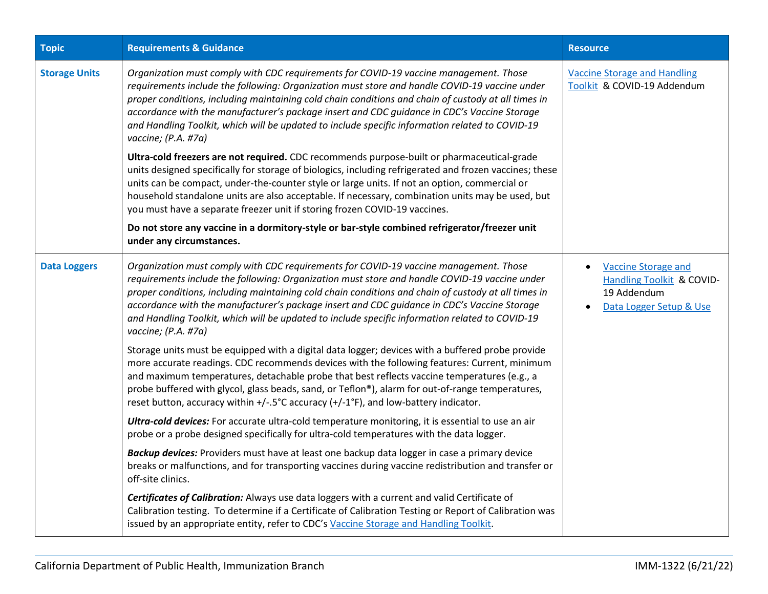| <b>Topic</b>         | <b>Requirements &amp; Guidance</b>                                                                                                                                                                                                                                                                                                                                                                                                                                                                                     | <b>Resource</b>                                                                                                             |
|----------------------|------------------------------------------------------------------------------------------------------------------------------------------------------------------------------------------------------------------------------------------------------------------------------------------------------------------------------------------------------------------------------------------------------------------------------------------------------------------------------------------------------------------------|-----------------------------------------------------------------------------------------------------------------------------|
| <b>Storage Units</b> | Organization must comply with CDC requirements for COVID-19 vaccine management. Those<br>requirements include the following: Organization must store and handle COVID-19 vaccine under<br>proper conditions, including maintaining cold chain conditions and chain of custody at all times in<br>accordance with the manufacturer's package insert and CDC guidance in CDC's Vaccine Storage<br>and Handling Toolkit, which will be updated to include specific information related to COVID-19<br>vaccine; (P.A. #7a) | <b>Vaccine Storage and Handling</b><br>Toolkit & COVID-19 Addendum                                                          |
|                      | Ultra-cold freezers are not required. CDC recommends purpose-built or pharmaceutical-grade<br>units designed specifically for storage of biologics, including refrigerated and frozen vaccines; these<br>units can be compact, under-the-counter style or large units. If not an option, commercial or<br>household standalone units are also acceptable. If necessary, combination units may be used, but<br>you must have a separate freezer unit if storing frozen COVID-19 vaccines.                               |                                                                                                                             |
|                      | Do not store any vaccine in a dormitory-style or bar-style combined refrigerator/freezer unit<br>under any circumstances.                                                                                                                                                                                                                                                                                                                                                                                              |                                                                                                                             |
| <b>Data Loggers</b>  | Organization must comply with CDC requirements for COVID-19 vaccine management. Those<br>requirements include the following: Organization must store and handle COVID-19 vaccine under<br>proper conditions, including maintaining cold chain conditions and chain of custody at all times in<br>accordance with the manufacturer's package insert and CDC guidance in CDC's Vaccine Storage<br>and Handling Toolkit, which will be updated to include specific information related to COVID-19<br>vaccine; (P.A. #7a) | <b>Vaccine Storage and</b><br>$\bullet$<br>Handling Toolkit & COVID-<br>19 Addendum<br>Data Logger Setup & Use<br>$\bullet$ |
|                      | Storage units must be equipped with a digital data logger; devices with a buffered probe provide<br>more accurate readings. CDC recommends devices with the following features: Current, minimum<br>and maximum temperatures, detachable probe that best reflects vaccine temperatures (e.g., a<br>probe buffered with glycol, glass beads, sand, or Teflon®), alarm for out-of-range temperatures,<br>reset button, accuracy within +/-.5°C accuracy (+/-1°F), and low-battery indicator.                             |                                                                                                                             |
|                      | Ultra-cold devices: For accurate ultra-cold temperature monitoring, it is essential to use an air<br>probe or a probe designed specifically for ultra-cold temperatures with the data logger.                                                                                                                                                                                                                                                                                                                          |                                                                                                                             |
|                      | Backup devices: Providers must have at least one backup data logger in case a primary device<br>breaks or malfunctions, and for transporting vaccines during vaccine redistribution and transfer or<br>off-site clinics.                                                                                                                                                                                                                                                                                               |                                                                                                                             |
|                      | Certificates of Calibration: Always use data loggers with a current and valid Certificate of<br>Calibration testing. To determine if a Certificate of Calibration Testing or Report of Calibration was<br>issued by an appropriate entity, refer to CDC's Vaccine Storage and Handling Toolkit.                                                                                                                                                                                                                        |                                                                                                                             |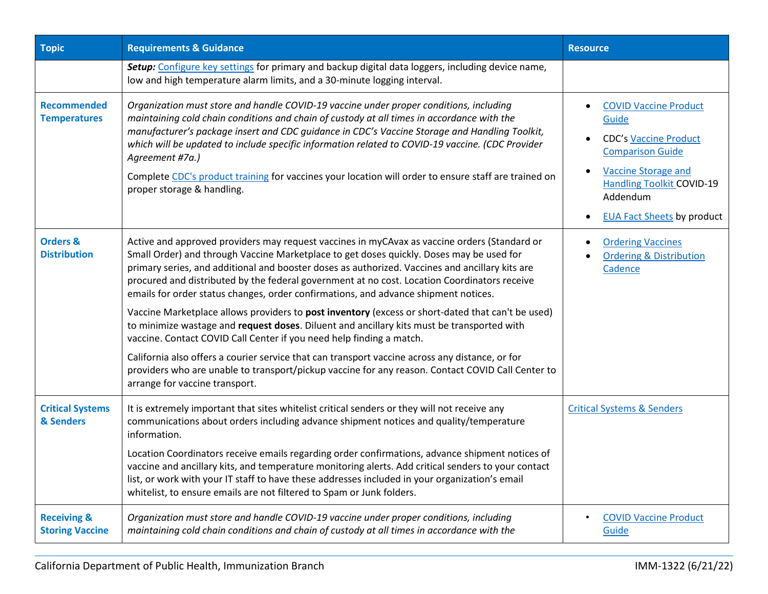| <b>Topic</b>                                     | <b>Requirements &amp; Guidance</b>                                                                                                                                                                                                                                                                                                                                                                                                                                                                                                                 | <b>Resource</b>                                                                                                                                                                                                     |
|--------------------------------------------------|----------------------------------------------------------------------------------------------------------------------------------------------------------------------------------------------------------------------------------------------------------------------------------------------------------------------------------------------------------------------------------------------------------------------------------------------------------------------------------------------------------------------------------------------------|---------------------------------------------------------------------------------------------------------------------------------------------------------------------------------------------------------------------|
|                                                  | Setup: Configure key settings for primary and backup digital data loggers, including device name,<br>low and high temperature alarm limits, and a 30-minute logging interval.                                                                                                                                                                                                                                                                                                                                                                      |                                                                                                                                                                                                                     |
| <b>Recommended</b><br><b>Temperatures</b>        | Organization must store and handle COVID-19 vaccine under proper conditions, including<br>maintaining cold chain conditions and chain of custody at all times in accordance with the<br>manufacturer's package insert and CDC guidance in CDC's Vaccine Storage and Handling Toolkit,<br>which will be updated to include specific information related to COVID-19 vaccine. (CDC Provider<br>Agreement #7a.)<br>Complete CDC's product training for vaccines your location will order to ensure staff are trained on<br>proper storage & handling. | <b>COVID Vaccine Product</b><br>Guide<br><b>CDC's Vaccine Product</b><br><b>Comparison Guide</b><br><b>Vaccine Storage and</b><br><b>Handling Toolkit COVID-19</b><br>Addendum<br><b>EUA Fact Sheets by product</b> |
| <b>Orders &amp;</b><br><b>Distribution</b>       | Active and approved providers may request vaccines in myCAvax as vaccine orders (Standard or<br>Small Order) and through Vaccine Marketplace to get doses quickly. Doses may be used for<br>primary series, and additional and booster doses as authorized. Vaccines and ancillary kits are<br>procured and distributed by the federal government at no cost. Location Coordinators receive<br>emails for order status changes, order confirmations, and advance shipment notices.                                                                 | <b>Ordering Vaccines</b><br><b>Ordering &amp; Distribution</b><br>Cadence                                                                                                                                           |
|                                                  | Vaccine Marketplace allows providers to post inventory (excess or short-dated that can't be used)<br>to minimize wastage and request doses. Diluent and ancillary kits must be transported with<br>vaccine. Contact COVID Call Center if you need help finding a match.                                                                                                                                                                                                                                                                            |                                                                                                                                                                                                                     |
|                                                  | California also offers a courier service that can transport vaccine across any distance, or for<br>providers who are unable to transport/pickup vaccine for any reason. Contact COVID Call Center to<br>arrange for vaccine transport.                                                                                                                                                                                                                                                                                                             |                                                                                                                                                                                                                     |
| <b>Critical Systems</b><br>& Senders             | It is extremely important that sites whitelist critical senders or they will not receive any<br>communications about orders including advance shipment notices and quality/temperature<br>information.                                                                                                                                                                                                                                                                                                                                             | <b>Critical Systems &amp; Senders</b>                                                                                                                                                                               |
|                                                  | Location Coordinators receive emails regarding order confirmations, advance shipment notices of<br>vaccine and ancillary kits, and temperature monitoring alerts. Add critical senders to your contact<br>list, or work with your IT staff to have these addresses included in your organization's email<br>whitelist, to ensure emails are not filtered to Spam or Junk folders.                                                                                                                                                                  |                                                                                                                                                                                                                     |
| <b>Receiving &amp;</b><br><b>Storing Vaccine</b> | Organization must store and handle COVID-19 vaccine under proper conditions, including<br>maintaining cold chain conditions and chain of custody at all times in accordance with the                                                                                                                                                                                                                                                                                                                                                               | <b>COVID Vaccine Product</b><br>Guide                                                                                                                                                                               |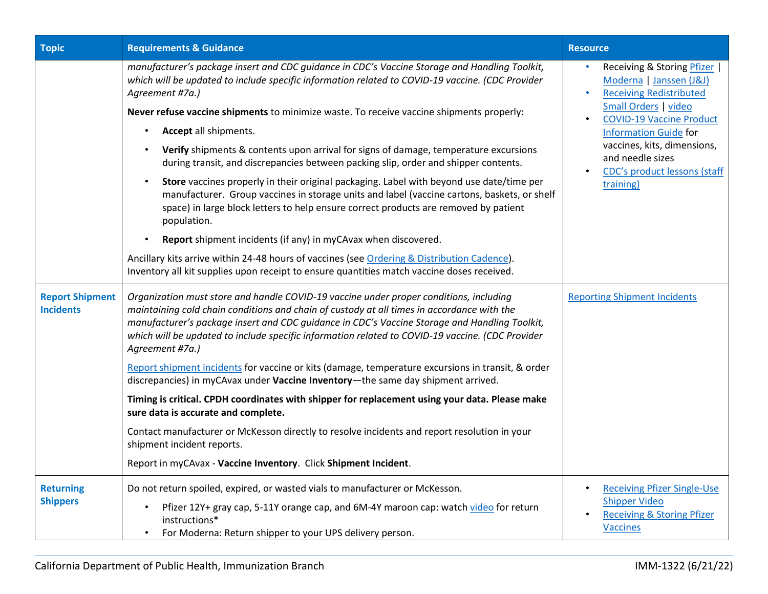| <b>Topic</b>                               | <b>Requirements &amp; Guidance</b>                                                                                                                                                                                                                                                                                                                                                                                                                                                                                                                                                                                                                                                                                                                                                                                                                                                                                                                                                                                                                                                        | <b>Resource</b>                                                                                                                                                                                                                                                                      |
|--------------------------------------------|-------------------------------------------------------------------------------------------------------------------------------------------------------------------------------------------------------------------------------------------------------------------------------------------------------------------------------------------------------------------------------------------------------------------------------------------------------------------------------------------------------------------------------------------------------------------------------------------------------------------------------------------------------------------------------------------------------------------------------------------------------------------------------------------------------------------------------------------------------------------------------------------------------------------------------------------------------------------------------------------------------------------------------------------------------------------------------------------|--------------------------------------------------------------------------------------------------------------------------------------------------------------------------------------------------------------------------------------------------------------------------------------|
|                                            | manufacturer's package insert and CDC guidance in CDC's Vaccine Storage and Handling Toolkit,<br>which will be updated to include specific information related to COVID-19 vaccine. (CDC Provider<br>Agreement #7a.)<br>Never refuse vaccine shipments to minimize waste. To receive vaccine shipments properly:<br>Accept all shipments.<br>Verify shipments & contents upon arrival for signs of damage, temperature excursions<br>during transit, and discrepancies between packing slip, order and shipper contents.<br>Store vaccines properly in their original packaging. Label with beyond use date/time per<br>manufacturer. Group vaccines in storage units and label (vaccine cartons, baskets, or shelf<br>space) in large block letters to help ensure correct products are removed by patient<br>population.<br>Report shipment incidents (if any) in myCAvax when discovered.<br>Ancillary kits arrive within 24-48 hours of vaccines (see Ordering & Distribution Cadence).<br>Inventory all kit supplies upon receipt to ensure quantities match vaccine doses received. | Receiving & Storing Pfizer  <br>Moderna   Janssen (J&J)<br><b>Receiving Redistributed</b><br>Small Orders   video<br><b>COVID-19 Vaccine Product</b><br><b>Information Guide for</b><br>vaccines, kits, dimensions,<br>and needle sizes<br>CDC's product lessons (staff<br>training) |
| <b>Report Shipment</b><br><b>Incidents</b> | Organization must store and handle COVID-19 vaccine under proper conditions, including<br>maintaining cold chain conditions and chain of custody at all times in accordance with the<br>manufacturer's package insert and CDC quidance in CDC's Vaccine Storage and Handling Toolkit,<br>which will be updated to include specific information related to COVID-19 vaccine. (CDC Provider<br>Agreement #7a.)<br>Report shipment incidents for vaccine or kits (damage, temperature excursions in transit, & order<br>discrepancies) in myCAvax under Vaccine Inventory-the same day shipment arrived.<br>Timing is critical. CPDH coordinates with shipper for replacement using your data. Please make<br>sure data is accurate and complete.<br>Contact manufacturer or McKesson directly to resolve incidents and report resolution in your<br>shipment incident reports.<br>Report in myCAvax - Vaccine Inventory. Click Shipment Incident.                                                                                                                                           | <b>Reporting Shipment Incidents</b>                                                                                                                                                                                                                                                  |
| <b>Returning</b><br><b>Shippers</b>        | Do not return spoiled, expired, or wasted vials to manufacturer or McKesson.<br>Pfizer 12Y+ gray cap, 5-11Y orange cap, and 6M-4Y maroon cap: watch video for return<br>instructions*<br>For Moderna: Return shipper to your UPS delivery person.                                                                                                                                                                                                                                                                                                                                                                                                                                                                                                                                                                                                                                                                                                                                                                                                                                         | <b>Receiving Pfizer Single-Use</b><br><b>Shipper Video</b><br><b>Receiving &amp; Storing Pfizer</b><br><b>Vaccines</b>                                                                                                                                                               |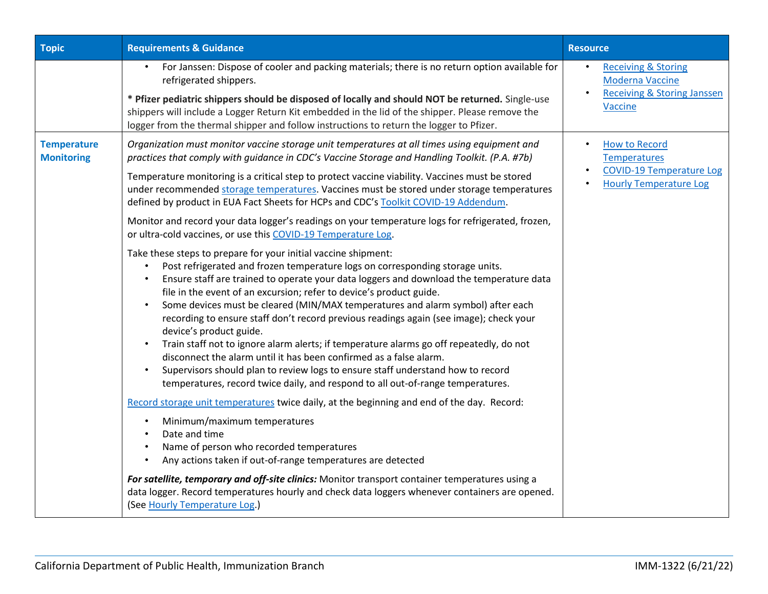| <b>Topic</b>                            | <b>Requirements &amp; Guidance</b>                                                                                                                                                                                                                                                                                                                                                                                                                                                                                                                                                                                                                                                                                                                                                                                                                                                                                                             | <b>Resource</b>                                                                                                              |
|-----------------------------------------|------------------------------------------------------------------------------------------------------------------------------------------------------------------------------------------------------------------------------------------------------------------------------------------------------------------------------------------------------------------------------------------------------------------------------------------------------------------------------------------------------------------------------------------------------------------------------------------------------------------------------------------------------------------------------------------------------------------------------------------------------------------------------------------------------------------------------------------------------------------------------------------------------------------------------------------------|------------------------------------------------------------------------------------------------------------------------------|
|                                         | For Janssen: Dispose of cooler and packing materials; there is no return option available for<br>$\bullet$<br>refrigerated shippers.<br>* Pfizer pediatric shippers should be disposed of locally and should NOT be returned. Single-use<br>shippers will include a Logger Return Kit embedded in the lid of the shipper. Please remove the<br>logger from the thermal shipper and follow instructions to return the logger to Pfizer.                                                                                                                                                                                                                                                                                                                                                                                                                                                                                                         | <b>Receiving &amp; Storing</b><br>$\bullet$<br><b>Moderna Vaccine</b><br><b>Receiving &amp; Storing Janssen</b><br>Vaccine   |
| <b>Temperature</b><br><b>Monitoring</b> | Organization must monitor vaccine storage unit temperatures at all times using equipment and<br>practices that comply with quidance in CDC's Vaccine Storage and Handling Toolkit. (P.A. #7b)<br>Temperature monitoring is a critical step to protect vaccine viability. Vaccines must be stored<br>under recommended storage temperatures. Vaccines must be stored under storage temperatures<br>defined by product in EUA Fact Sheets for HCPs and CDC's Toolkit COVID-19 Addendum.<br>Monitor and record your data logger's readings on your temperature logs for refrigerated, frozen,                                                                                                                                                                                                                                                                                                                                                     | <b>How to Record</b><br>$\bullet$<br><b>Temperatures</b><br><b>COVID-19 Temperature Log</b><br><b>Hourly Temperature Log</b> |
|                                         | or ultra-cold vaccines, or use this COVID-19 Temperature Log.<br>Take these steps to prepare for your initial vaccine shipment:<br>Post refrigerated and frozen temperature logs on corresponding storage units.<br>$\bullet$<br>Ensure staff are trained to operate your data loggers and download the temperature data<br>file in the event of an excursion; refer to device's product guide.<br>Some devices must be cleared (MIN/MAX temperatures and alarm symbol) after each<br>recording to ensure staff don't record previous readings again (see image); check your<br>device's product guide.<br>Train staff not to ignore alarm alerts; if temperature alarms go off repeatedly, do not<br>disconnect the alarm until it has been confirmed as a false alarm.<br>Supervisors should plan to review logs to ensure staff understand how to record<br>temperatures, record twice daily, and respond to all out-of-range temperatures. |                                                                                                                              |
|                                         | Record storage unit temperatures twice daily, at the beginning and end of the day. Record:<br>Minimum/maximum temperatures<br>Date and time<br>Name of person who recorded temperatures<br>Any actions taken if out-of-range temperatures are detected                                                                                                                                                                                                                                                                                                                                                                                                                                                                                                                                                                                                                                                                                         |                                                                                                                              |
|                                         | For satellite, temporary and off-site clinics: Monitor transport container temperatures using a<br>data logger. Record temperatures hourly and check data loggers whenever containers are opened.<br>(See Hourly Temperature Log.)                                                                                                                                                                                                                                                                                                                                                                                                                                                                                                                                                                                                                                                                                                             |                                                                                                                              |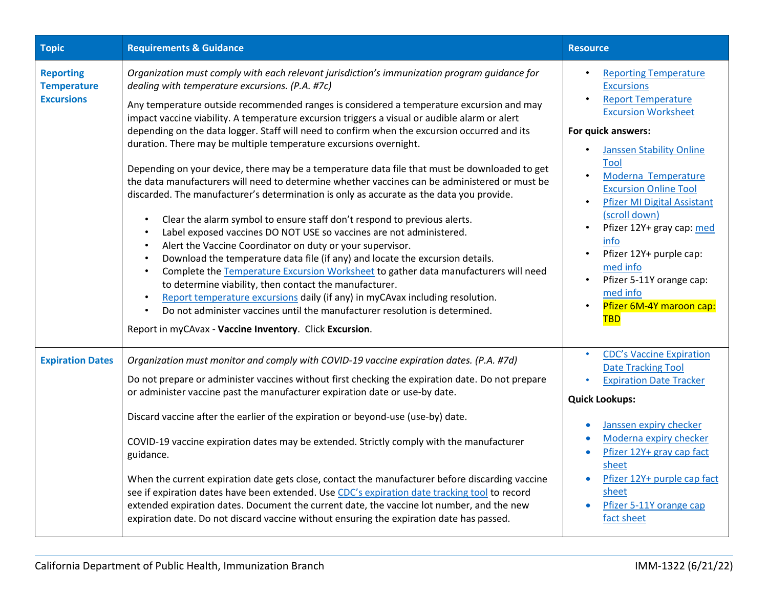| <b>Topic</b>                                                | <b>Requirements &amp; Guidance</b>                                                                                                                                                                                                                                                                                                                                                                                                                                                                                                                                                                                                                                                                                                                                                                                                                                                                                                                                                                                                                                                                                                                                                                                                                                                                                                                                                                                                                                                           | <b>Resource</b>                                                                                                                                                                                                                                                                                                                                                                                                                                                                            |
|-------------------------------------------------------------|----------------------------------------------------------------------------------------------------------------------------------------------------------------------------------------------------------------------------------------------------------------------------------------------------------------------------------------------------------------------------------------------------------------------------------------------------------------------------------------------------------------------------------------------------------------------------------------------------------------------------------------------------------------------------------------------------------------------------------------------------------------------------------------------------------------------------------------------------------------------------------------------------------------------------------------------------------------------------------------------------------------------------------------------------------------------------------------------------------------------------------------------------------------------------------------------------------------------------------------------------------------------------------------------------------------------------------------------------------------------------------------------------------------------------------------------------------------------------------------------|--------------------------------------------------------------------------------------------------------------------------------------------------------------------------------------------------------------------------------------------------------------------------------------------------------------------------------------------------------------------------------------------------------------------------------------------------------------------------------------------|
| <b>Reporting</b><br><b>Temperature</b><br><b>Excursions</b> | Organization must comply with each relevant jurisdiction's immunization program guidance for<br>dealing with temperature excursions. (P.A. #7c)<br>Any temperature outside recommended ranges is considered a temperature excursion and may<br>impact vaccine viability. A temperature excursion triggers a visual or audible alarm or alert<br>depending on the data logger. Staff will need to confirm when the excursion occurred and its<br>duration. There may be multiple temperature excursions overnight.<br>Depending on your device, there may be a temperature data file that must be downloaded to get<br>the data manufacturers will need to determine whether vaccines can be administered or must be<br>discarded. The manufacturer's determination is only as accurate as the data you provide.<br>Clear the alarm symbol to ensure staff don't respond to previous alerts.<br>Label exposed vaccines DO NOT USE so vaccines are not administered.<br>Alert the Vaccine Coordinator on duty or your supervisor.<br>Download the temperature data file (if any) and locate the excursion details.<br>Complete the Temperature Excursion Worksheet to gather data manufacturers will need<br>to determine viability, then contact the manufacturer.<br>Report temperature excursions daily (if any) in myCAvax including resolution.<br>Do not administer vaccines until the manufacturer resolution is determined.<br>Report in myCAvax - Vaccine Inventory. Click Excursion. | <b>Reporting Temperature</b><br><b>Excursions</b><br><b>Report Temperature</b><br>$\bullet$<br><b>Excursion Worksheet</b><br>For quick answers:<br><b>Janssen Stability Online</b><br><b>Tool</b><br>Moderna Temperature<br><b>Excursion Online Tool</b><br><b>Pfizer MI Digital Assistant</b><br>$\bullet$<br>(scroll down)<br>Pfizer 12Y+ gray cap: med<br>info<br>Pfizer 12Y+ purple cap:<br>med info<br>Pfizer 5-11Y orange cap:<br>med info<br>Pfizer 6M-4Y maroon cap:<br><b>TBD</b> |
| <b>Expiration Dates</b>                                     | Organization must monitor and comply with COVID-19 vaccine expiration dates. (P.A. #7d)<br>Do not prepare or administer vaccines without first checking the expiration date. Do not prepare<br>or administer vaccine past the manufacturer expiration date or use-by date.<br>Discard vaccine after the earlier of the expiration or beyond-use (use-by) date.<br>COVID-19 vaccine expiration dates may be extended. Strictly comply with the manufacturer<br>guidance.<br>When the current expiration date gets close, contact the manufacturer before discarding vaccine<br>see if expiration dates have been extended. Use CDC's expiration date tracking tool to record<br>extended expiration dates. Document the current date, the vaccine lot number, and the new<br>expiration date. Do not discard vaccine without ensuring the expiration date has passed.                                                                                                                                                                                                                                                                                                                                                                                                                                                                                                                                                                                                                         | <b>CDC's Vaccine Expiration</b><br><b>Date Tracking Tool</b><br><b>Expiration Date Tracker</b><br><b>Quick Lookups:</b><br>Janssen expiry checker<br>Moderna expiry checker<br>Pfizer 12Y+ gray cap fact<br>$\bullet$<br>sheet<br>Pfizer 12Y+ purple cap fact<br>sheet<br>Pfizer 5-11Y orange cap<br>fact sheet                                                                                                                                                                            |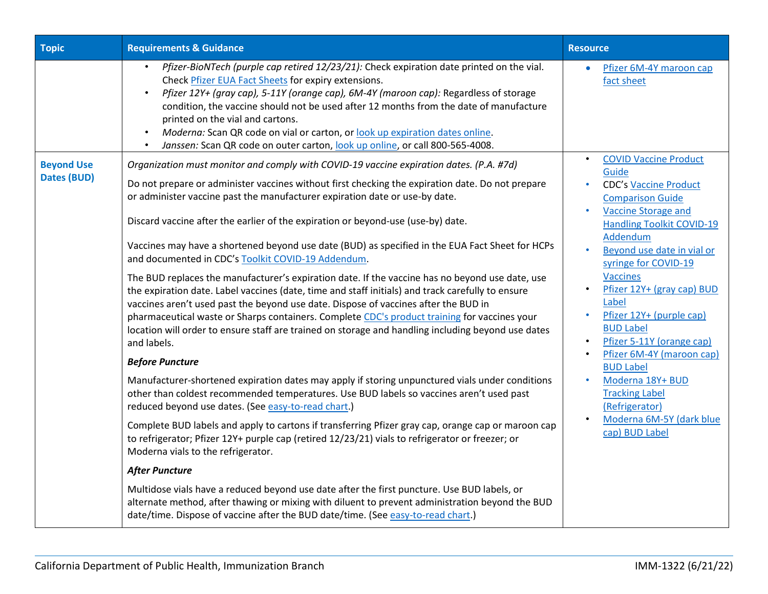| <b>Topic</b>                     | <b>Requirements &amp; Guidance</b>                                                                                                                                                                                                                                                                                                                                                                                                                                                                                                                   | <b>Resource</b>                                                                                                                     |
|----------------------------------|------------------------------------------------------------------------------------------------------------------------------------------------------------------------------------------------------------------------------------------------------------------------------------------------------------------------------------------------------------------------------------------------------------------------------------------------------------------------------------------------------------------------------------------------------|-------------------------------------------------------------------------------------------------------------------------------------|
|                                  | Pfizer-BioNTech (purple cap retired 12/23/21): Check expiration date printed on the vial.<br>$\bullet$<br>Check Pfizer EUA Fact Sheets for expiry extensions.<br>Pfizer 12Y+ (gray cap), 5-11Y (orange cap), 6M-4Y (maroon cap): Regardless of storage<br>condition, the vaccine should not be used after 12 months from the date of manufacture<br>printed on the vial and cartons.<br>Moderna: Scan QR code on vial or carton, or look up expiration dates online.<br>Janssen: Scan QR code on outer carton, look up online, or call 800-565-4008. | Pfizer 6M-4Y maroon cap<br>$\bullet$<br>fact sheet                                                                                  |
| <b>Beyond Use</b><br>Dates (BUD) | Organization must monitor and comply with COVID-19 vaccine expiration dates. (P.A. #7d)<br>Do not prepare or administer vaccines without first checking the expiration date. Do not prepare                                                                                                                                                                                                                                                                                                                                                          | <b>COVID Vaccine Product</b><br>$\bullet$<br>Guide<br><b>CDC's Vaccine Product</b>                                                  |
|                                  | or administer vaccine past the manufacturer expiration date or use-by date.<br>Discard vaccine after the earlier of the expiration or beyond-use (use-by) date.                                                                                                                                                                                                                                                                                                                                                                                      | <b>Comparison Guide</b><br><b>Vaccine Storage and</b><br>$\bullet$<br><b>Handling Toolkit COVID-19</b>                              |
|                                  | Vaccines may have a shortened beyond use date (BUD) as specified in the EUA Fact Sheet for HCPs<br>and documented in CDC's Toolkit COVID-19 Addendum.                                                                                                                                                                                                                                                                                                                                                                                                | Addendum<br>Beyond use date in vial or<br>syringe for COVID-19                                                                      |
|                                  | The BUD replaces the manufacturer's expiration date. If the vaccine has no beyond use date, use<br>the expiration date. Label vaccines (date, time and staff initials) and track carefully to ensure<br>vaccines aren't used past the beyond use date. Dispose of vaccines after the BUD in<br>pharmaceutical waste or Sharps containers. Complete CDC's product training for vaccines your<br>location will order to ensure staff are trained on storage and handling including beyond use dates<br>and labels.                                     | <b>Vaccines</b><br>Pfizer 12Y+ (gray cap) BUD<br>Label<br>Pfizer 12Y+ (purple cap)<br><b>BUD Label</b><br>Pfizer 5-11Y (orange cap) |
|                                  | <b>Before Puncture</b>                                                                                                                                                                                                                                                                                                                                                                                                                                                                                                                               | Pfizer 6M-4Y (maroon cap)<br><b>BUD Label</b>                                                                                       |
|                                  | Manufacturer-shortened expiration dates may apply if storing unpunctured vials under conditions<br>other than coldest recommended temperatures. Use BUD labels so vaccines aren't used past<br>reduced beyond use dates. (See easy-to-read chart.)                                                                                                                                                                                                                                                                                                   | Moderna 18Y+ BUD<br>$\bullet$<br><b>Tracking Label</b><br>(Refrigerator)                                                            |
|                                  | Complete BUD labels and apply to cartons if transferring Pfizer gray cap, orange cap or maroon cap<br>to refrigerator; Pfizer 12Y+ purple cap (retired 12/23/21) vials to refrigerator or freezer; or<br>Moderna vials to the refrigerator.                                                                                                                                                                                                                                                                                                          | Moderna 6M-5Y (dark blue<br>cap) BUD Label                                                                                          |
|                                  | <b>After Puncture</b>                                                                                                                                                                                                                                                                                                                                                                                                                                                                                                                                |                                                                                                                                     |
|                                  | Multidose vials have a reduced beyond use date after the first puncture. Use BUD labels, or<br>alternate method, after thawing or mixing with diluent to prevent administration beyond the BUD<br>date/time. Dispose of vaccine after the BUD date/time. (See easy-to-read chart.)                                                                                                                                                                                                                                                                   |                                                                                                                                     |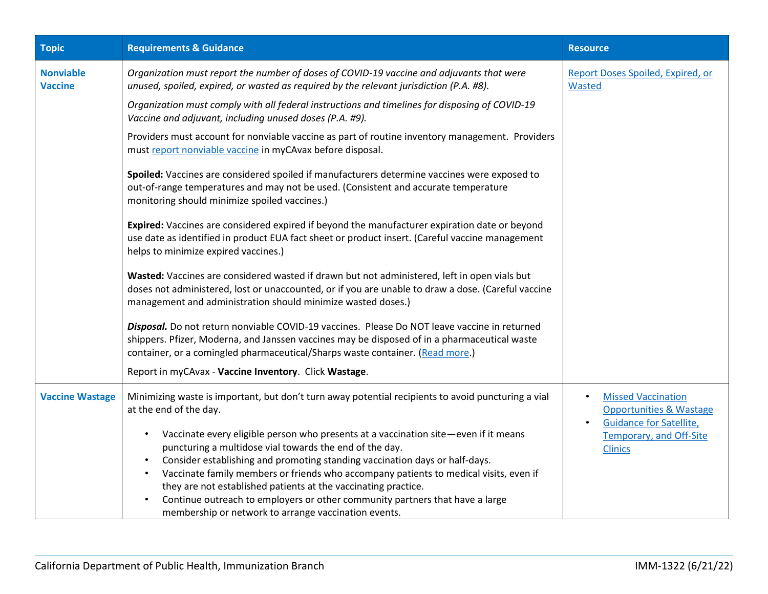| <b>Topic</b>                       | <b>Requirements &amp; Guidance</b>                                                                                                                                                                                                                                            | <b>Resource</b>                                                                                                |
|------------------------------------|-------------------------------------------------------------------------------------------------------------------------------------------------------------------------------------------------------------------------------------------------------------------------------|----------------------------------------------------------------------------------------------------------------|
| <b>Nonviable</b><br><b>Vaccine</b> | Organization must report the number of doses of COVID-19 vaccine and adjuvants that were<br>unused, spoiled, expired, or wasted as required by the relevant jurisdiction (P.A. #8).                                                                                           | Report Doses Spoiled, Expired, or<br>Wasted                                                                    |
|                                    | Organization must comply with all federal instructions and timelines for disposing of COVID-19<br>Vaccine and adjuvant, including unused doses (P.A. #9).                                                                                                                     |                                                                                                                |
|                                    | Providers must account for nonviable vaccine as part of routine inventory management. Providers<br>must report nonviable vaccine in myCAvax before disposal.                                                                                                                  |                                                                                                                |
|                                    | Spoiled: Vaccines are considered spoiled if manufacturers determine vaccines were exposed to<br>out-of-range temperatures and may not be used. (Consistent and accurate temperature<br>monitoring should minimize spoiled vaccines.)                                          |                                                                                                                |
|                                    | Expired: Vaccines are considered expired if beyond the manufacturer expiration date or beyond<br>use date as identified in product EUA fact sheet or product insert. (Careful vaccine management<br>helps to minimize expired vaccines.)                                      |                                                                                                                |
|                                    | Wasted: Vaccines are considered wasted if drawn but not administered, left in open vials but<br>doses not administered, lost or unaccounted, or if you are unable to draw a dose. (Careful vaccine<br>management and administration should minimize wasted doses.)            |                                                                                                                |
|                                    | Disposal. Do not return nonviable COVID-19 vaccines. Please Do NOT leave vaccine in returned<br>shippers. Pfizer, Moderna, and Janssen vaccines may be disposed of in a pharmaceutical waste<br>container, or a comingled pharmaceutical/Sharps waste container. (Read more.) |                                                                                                                |
|                                    | Report in myCAvax - Vaccine Inventory. Click Wastage.                                                                                                                                                                                                                         |                                                                                                                |
| <b>Vaccine Wastage</b>             | Minimizing waste is important, but don't turn away potential recipients to avoid puncturing a vial<br>at the end of the day.                                                                                                                                                  | <b>Missed Vaccination</b><br>$\bullet$<br><b>Opportunities &amp; Wastage</b><br><b>Guidance for Satellite,</b> |
|                                    | Vaccinate every eligible person who presents at a vaccination site-even if it means<br>٠<br>puncturing a multidose vial towards the end of the day.<br>$\bullet$                                                                                                              | <b>Temporary, and Off-Site</b><br><b>Clinics</b>                                                               |
|                                    | Consider establishing and promoting standing vaccination days or half-days.<br>Vaccinate family members or friends who accompany patients to medical visits, even if<br>$\bullet$                                                                                             |                                                                                                                |
|                                    | they are not established patients at the vaccinating practice.                                                                                                                                                                                                                |                                                                                                                |
|                                    | Continue outreach to employers or other community partners that have a large<br>membership or network to arrange vaccination events.                                                                                                                                          |                                                                                                                |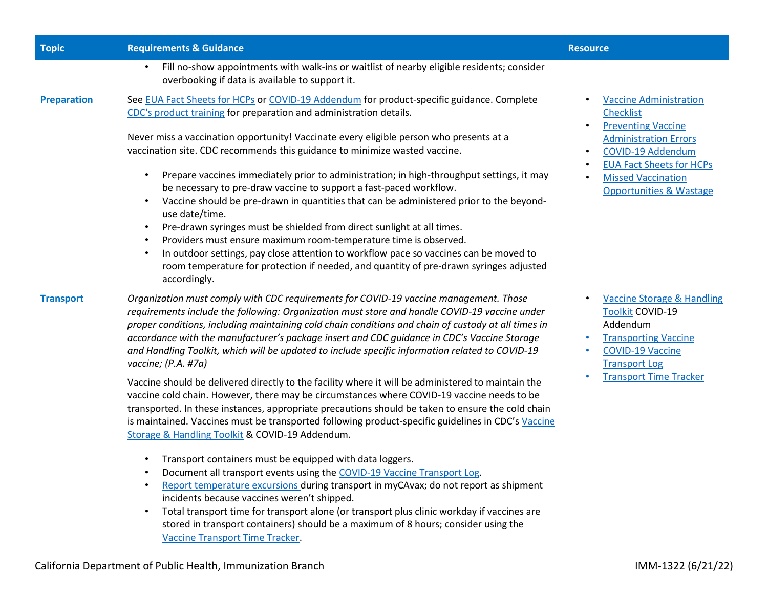| <b>Topic</b>       | <b>Requirements &amp; Guidance</b>                                                                                                                                                                                                                                                                                                                                                                                                                                                                                                                                                                                                                                                                                                                                                                                                                                                                                                                                                                                                                                                                                                                                                                                                                                                                                                                                                                                                                                                            | <b>Resource</b>                                                                                                                                                                                                                           |
|--------------------|-----------------------------------------------------------------------------------------------------------------------------------------------------------------------------------------------------------------------------------------------------------------------------------------------------------------------------------------------------------------------------------------------------------------------------------------------------------------------------------------------------------------------------------------------------------------------------------------------------------------------------------------------------------------------------------------------------------------------------------------------------------------------------------------------------------------------------------------------------------------------------------------------------------------------------------------------------------------------------------------------------------------------------------------------------------------------------------------------------------------------------------------------------------------------------------------------------------------------------------------------------------------------------------------------------------------------------------------------------------------------------------------------------------------------------------------------------------------------------------------------|-------------------------------------------------------------------------------------------------------------------------------------------------------------------------------------------------------------------------------------------|
|                    | Fill no-show appointments with walk-ins or waitlist of nearby eligible residents; consider<br>overbooking if data is available to support it.                                                                                                                                                                                                                                                                                                                                                                                                                                                                                                                                                                                                                                                                                                                                                                                                                                                                                                                                                                                                                                                                                                                                                                                                                                                                                                                                                 |                                                                                                                                                                                                                                           |
| <b>Preparation</b> | See EUA Fact Sheets for HCPs or COVID-19 Addendum for product-specific guidance. Complete<br>CDC's product training for preparation and administration details.<br>Never miss a vaccination opportunity! Vaccinate every eligible person who presents at a<br>vaccination site. CDC recommends this guidance to minimize wasted vaccine.<br>Prepare vaccines immediately prior to administration; in high-throughput settings, it may<br>be necessary to pre-draw vaccine to support a fast-paced workflow.<br>Vaccine should be pre-drawn in quantities that can be administered prior to the beyond-<br>use date/time.<br>Pre-drawn syringes must be shielded from direct sunlight at all times.<br>Providers must ensure maximum room-temperature time is observed.<br>In outdoor settings, pay close attention to workflow pace so vaccines can be moved to<br>room temperature for protection if needed, and quantity of pre-drawn syringes adjusted<br>accordingly.                                                                                                                                                                                                                                                                                                                                                                                                                                                                                                                     | <b>Vaccine Administration</b><br><b>Checklist</b><br><b>Preventing Vaccine</b><br><b>Administration Errors</b><br>COVID-19 Addendum<br><b>EUA Fact Sheets for HCPs</b><br><b>Missed Vaccination</b><br><b>Opportunities &amp; Wastage</b> |
| <b>Transport</b>   | Organization must comply with CDC requirements for COVID-19 vaccine management. Those<br>requirements include the following: Organization must store and handle COVID-19 vaccine under<br>proper conditions, including maintaining cold chain conditions and chain of custody at all times in<br>accordance with the manufacturer's package insert and CDC guidance in CDC's Vaccine Storage<br>and Handling Toolkit, which will be updated to include specific information related to COVID-19<br>vaccine; (P.A. #7a)<br>Vaccine should be delivered directly to the facility where it will be administered to maintain the<br>vaccine cold chain. However, there may be circumstances where COVID-19 vaccine needs to be<br>transported. In these instances, appropriate precautions should be taken to ensure the cold chain<br>is maintained. Vaccines must be transported following product-specific guidelines in CDC's Vaccine<br>Storage & Handling Toolkit & COVID-19 Addendum.<br>Transport containers must be equipped with data loggers.<br>Document all transport events using the COVID-19 Vaccine Transport Log.<br>Report temperature excursions during transport in myCAvax; do not report as shipment<br>incidents because vaccines weren't shipped.<br>Total transport time for transport alone (or transport plus clinic workday if vaccines are<br>stored in transport containers) should be a maximum of 8 hours; consider using the<br>Vaccine Transport Time Tracker. | <b>Vaccine Storage &amp; Handling</b><br><b>Toolkit COVID-19</b><br>Addendum<br><b>Transporting Vaccine</b><br><b>COVID-19 Vaccine</b><br><b>Transport Log</b><br><b>Transport Time Tracker</b>                                           |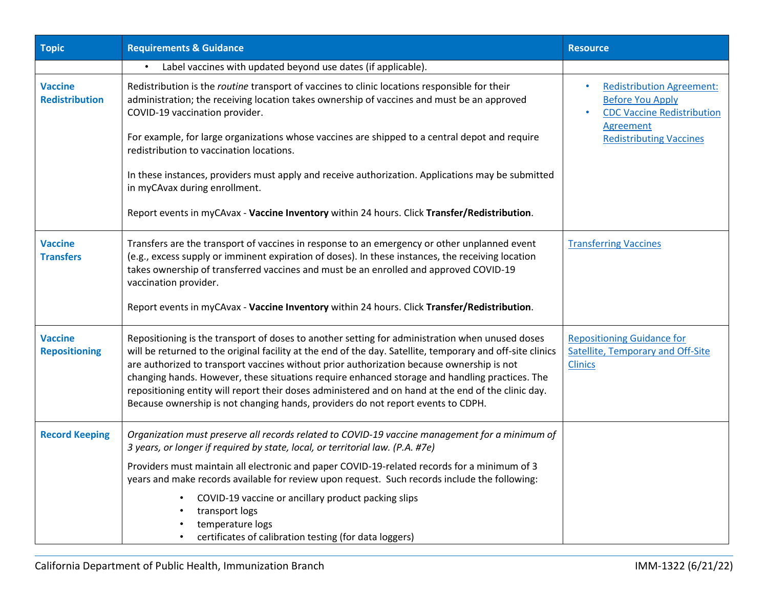| <b>Topic</b>                            | <b>Requirements &amp; Guidance</b>                                                                                                                                                                                                                                                                                                                                                                                                                                                                                                                                                                      | <b>Resource</b>                                                                                               |
|-----------------------------------------|---------------------------------------------------------------------------------------------------------------------------------------------------------------------------------------------------------------------------------------------------------------------------------------------------------------------------------------------------------------------------------------------------------------------------------------------------------------------------------------------------------------------------------------------------------------------------------------------------------|---------------------------------------------------------------------------------------------------------------|
|                                         | Label vaccines with updated beyond use dates (if applicable).                                                                                                                                                                                                                                                                                                                                                                                                                                                                                                                                           |                                                                                                               |
| <b>Vaccine</b><br><b>Redistribution</b> | Redistribution is the routine transport of vaccines to clinic locations responsible for their<br>administration; the receiving location takes ownership of vaccines and must be an approved<br>COVID-19 vaccination provider.                                                                                                                                                                                                                                                                                                                                                                           | <b>Redistribution Agreement:</b><br><b>Before You Apply</b><br><b>CDC Vaccine Redistribution</b><br>Agreement |
|                                         | For example, for large organizations whose vaccines are shipped to a central depot and require<br>redistribution to vaccination locations.                                                                                                                                                                                                                                                                                                                                                                                                                                                              | <b>Redistributing Vaccines</b>                                                                                |
|                                         | In these instances, providers must apply and receive authorization. Applications may be submitted<br>in myCAvax during enrollment.                                                                                                                                                                                                                                                                                                                                                                                                                                                                      |                                                                                                               |
|                                         | Report events in myCAvax - Vaccine Inventory within 24 hours. Click Transfer/Redistribution.                                                                                                                                                                                                                                                                                                                                                                                                                                                                                                            |                                                                                                               |
| <b>Vaccine</b><br><b>Transfers</b>      | Transfers are the transport of vaccines in response to an emergency or other unplanned event<br>(e.g., excess supply or imminent expiration of doses). In these instances, the receiving location<br>takes ownership of transferred vaccines and must be an enrolled and approved COVID-19<br>vaccination provider.                                                                                                                                                                                                                                                                                     | <b>Transferring Vaccines</b>                                                                                  |
|                                         | Report events in myCAvax - Vaccine Inventory within 24 hours. Click Transfer/Redistribution.                                                                                                                                                                                                                                                                                                                                                                                                                                                                                                            |                                                                                                               |
| <b>Vaccine</b><br><b>Repositioning</b>  | Repositioning is the transport of doses to another setting for administration when unused doses<br>will be returned to the original facility at the end of the day. Satellite, temporary and off-site clinics<br>are authorized to transport vaccines without prior authorization because ownership is not<br>changing hands. However, these situations require enhanced storage and handling practices. The<br>repositioning entity will report their doses administered and on hand at the end of the clinic day.<br>Because ownership is not changing hands, providers do not report events to CDPH. | <b>Repositioning Guidance for</b><br><b>Satellite, Temporary and Off-Site</b><br><b>Clinics</b>               |
| <b>Record Keeping</b>                   | Organization must preserve all records related to COVID-19 vaccine management for a minimum of<br>3 years, or longer if required by state, local, or territorial law. (P.A. #7e)                                                                                                                                                                                                                                                                                                                                                                                                                        |                                                                                                               |
|                                         | Providers must maintain all electronic and paper COVID-19-related records for a minimum of 3<br>years and make records available for review upon request. Such records include the following:                                                                                                                                                                                                                                                                                                                                                                                                           |                                                                                                               |
|                                         | COVID-19 vaccine or ancillary product packing slips<br>transport logs<br>temperature logs<br>certificates of calibration testing (for data loggers)                                                                                                                                                                                                                                                                                                                                                                                                                                                     |                                                                                                               |